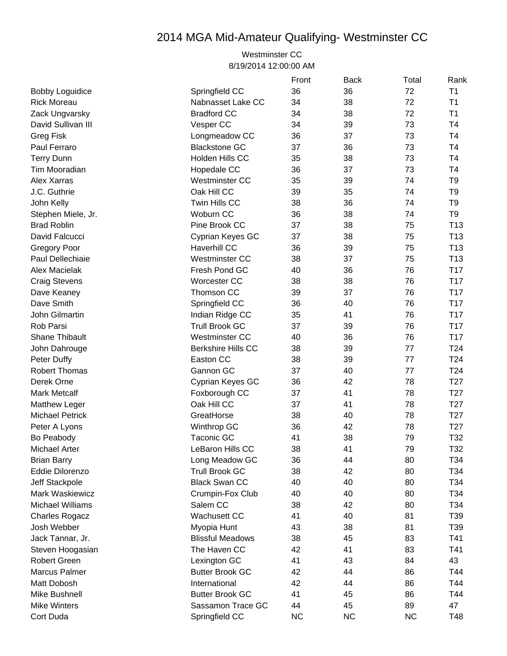## 2014 MGA Mid-Amateur Qualifying- Westminster CC

## Westminster CC 8/19/2014 12:00:00 AM

|                         |                           | Front     | <b>Back</b> | Total     | Rank            |
|-------------------------|---------------------------|-----------|-------------|-----------|-----------------|
| <b>Bobby Loguidice</b>  | Springfield CC            | 36        | 36          | 72        | T1              |
| <b>Rick Moreau</b>      | Nabnasset Lake CC         | 34        | 38          | 72        | T <sub>1</sub>  |
| Zack Ungvarsky          | <b>Bradford CC</b>        | 34        | 38          | 72        | T1              |
| David Sullivan III      | Vesper CC                 | 34        | 39          | 73        | T4              |
| <b>Greg Fisk</b>        | Longmeadow CC             | 36        | 37          | 73        | T <sub>4</sub>  |
| Paul Ferraro            | <b>Blackstone GC</b>      | 37        | 36          | 73        | T4              |
| <b>Terry Dunn</b>       | Holden Hills CC           | 35        | 38          | 73        | T <sub>4</sub>  |
| Tim Mooradian           | Hopedale CC               | 36        | 37          | 73        | T <sub>4</sub>  |
| Alex Xarras             | <b>Westminster CC</b>     | 35        | 39          | 74        | T <sub>9</sub>  |
| J.C. Guthrie            | Oak Hill CC               | 39        | 35          | 74        | T <sub>9</sub>  |
| John Kelly              | Twin Hills CC             | 38        | 36          | 74        | T <sub>9</sub>  |
| Stephen Miele, Jr.      | Woburn CC                 | 36        | 38          | 74        | T <sub>9</sub>  |
| <b>Brad Roblin</b>      | Pine Brook CC             | 37        | 38          | 75        | T <sub>13</sub> |
| David Falcucci          | Cyprian Keyes GC          | 37        | 38          | 75        | T <sub>13</sub> |
| <b>Gregory Poor</b>     | <b>Haverhill CC</b>       | 36        | 39          | 75        | T <sub>13</sub> |
| Paul Dellechiaie        | <b>Westminster CC</b>     | 38        | 37          | 75        | T <sub>13</sub> |
| Alex Macielak           | Fresh Pond GC             | 40        | 36          | 76        | T <sub>17</sub> |
| <b>Craig Stevens</b>    | Worcester CC              | 38        | 38          | 76        | T <sub>17</sub> |
| Dave Keaney             | Thomson CC                | 39        | 37          | 76        | T <sub>17</sub> |
| Dave Smith              | Springfield CC            | 36        | 40          | 76        | T <sub>17</sub> |
| John Gilmartin          | Indian Ridge CC           | 35        | 41          | 76        | T17             |
| Rob Parsi               | <b>Trull Brook GC</b>     | 37        | 39          | 76        | T <sub>17</sub> |
| Shane Thibault          | <b>Westminster CC</b>     | 40        | 36          | 76        | T <sub>17</sub> |
| John Dahrouge           | <b>Berkshire Hills CC</b> | 38        | 39          | 77        | T <sub>24</sub> |
| <b>Peter Duffy</b>      | Easton CC                 | 38        | 39          | 77        | T24             |
| <b>Robert Thomas</b>    | Gannon GC                 | 37        | 40          | 77        | T <sub>24</sub> |
| Derek Orne              | Cyprian Keyes GC          | 36        | 42          | 78        | T <sub>27</sub> |
| <b>Mark Metcalf</b>     | Foxborough CC             | 37        | 41          | 78        | T <sub>27</sub> |
| <b>Matthew Leger</b>    | Oak Hill CC               | 37        | 41          | 78        | T <sub>27</sub> |
| <b>Michael Petrick</b>  | GreatHorse                | 38        | 40          | 78        | T <sub>27</sub> |
| Peter A Lyons           | Winthrop GC               | 36        | 42          | 78        | T <sub>27</sub> |
| Bo Peabody              | Taconic GC                | 41        | 38          | 79        | T32             |
| Michael Arter           | LeBaron Hills CC          | 38        | 41          | 79        | T32             |
| <b>Brian Barry</b>      | Long Meadow GC            | 36        | 44          | 80        | T34             |
| Eddie Dilorenzo         | <b>Trull Brook GC</b>     | 38        | 42          | 80        | T34             |
| Jeff Stackpole          | <b>Black Swan CC</b>      | 40        | 40          | 80        | T34             |
| Mark Waskiewicz         | Crumpin-Fox Club          | 40        | 40          | 80        | T34             |
| <b>Michael Williams</b> | Salem CC                  | 38        | 42          | 80        | T34             |
| <b>Charles Rogacz</b>   | <b>Wachusett CC</b>       | 41        | 40          | 81        | T39             |
| Josh Webber             | Myopia Hunt               | 43        | 38          | 81        | T39             |
| Jack Tannar, Jr.        | <b>Blissful Meadows</b>   | 38        | 45          | 83        | T41             |
| Steven Hoogasian        | The Haven CC              | 42        | 41          | 83        | T41             |
| <b>Robert Green</b>     | Lexington GC              | 41        | 43          | 84        | 43              |
| <b>Marcus Palmer</b>    | <b>Butter Brook GC</b>    | 42        | 44          | 86        | T44             |
| Matt Dobosh             | International             | 42        | 44          | 86        | T44             |
| Mike Bushnell           | <b>Butter Brook GC</b>    | 41        | 45          | 86        | T44             |
| <b>Mike Winters</b>     | Sassamon Trace GC         | 44        | 45          | 89        | 47              |
| Cort Duda               | Springfield CC            | <b>NC</b> | <b>NC</b>   | <b>NC</b> | T48             |
|                         |                           |           |             |           |                 |